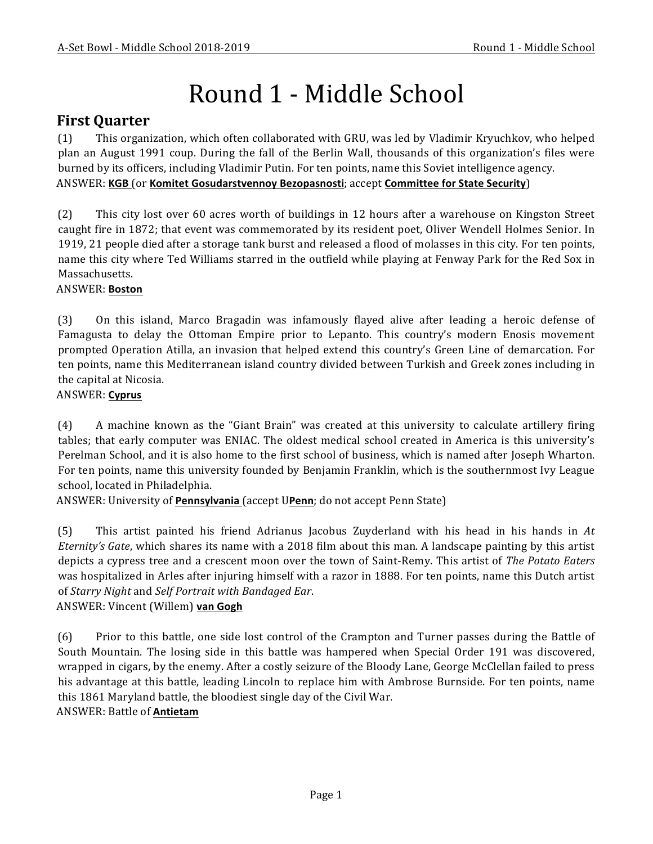# Round 1 - Middle School

# **First Quarter**

(1) This organization, which often collaborated with GRU, was led by Vladimir Kryuchkov, who helped plan an August 1991 coup. During the fall of the Berlin Wall, thousands of this organization's files were burned by its officers, including Vladimir Putin. For ten points, name this Soviet intelligence agency. ANSWER: **KGB** (or **Komitet Gosudarstvennoy Bezopasnosti**; accept **Committee for State Security**)

(2) This city lost over 60 acres worth of buildings in 12 hours after a warehouse on Kingston Street caught fire in 1872; that event was commemorated by its resident poet, Oliver Wendell Holmes Senior. In 1919, 21 people died after a storage tank burst and released a flood of molasses in this city. For ten points, name this city where Ted Williams starred in the outfield while playing at Fenway Park for the Red Sox in Massachusetts.

#### ANSWER: **Boston**

(3) On this island, Marco Bragadin was infamously flayed alive after leading a heroic defense of Famagusta to delay the Ottoman Empire prior to Lepanto. This country's modern Enosis movement prompted Operation Atilla, an invasion that helped extend this country's Green Line of demarcation. For ten points, name this Mediterranean island country divided between Turkish and Greek zones including in the capital at Nicosia.

#### ANSWER: **Cyprus**

(4) A machine known as the "Giant Brain" was created at this university to calculate artillery firing tables; that early computer was ENIAC. The oldest medical school created in America is this university's Perelman School, and it is also home to the first school of business, which is named after Joseph Wharton. For ten points, name this university founded by Benjamin Franklin, which is the southernmost Ivy League school, located in Philadelphia.

ANSWER: University of *Pennsylvania* (accept UPenn; do not accept Penn State)

(5) This artist painted his friend Adrianus Jacobus Zuyderland with his head in his hands in At *Eternity's Gate*, which shares its name with a 2018 film about this man. A landscape painting by this artist depicts a cypress tree and a crescent moon over the town of Saint-Remy. This artist of *The Potato Eaters* was hospitalized in Arles after injuring himself with a razor in 1888. For ten points, name this Dutch artist of *Starry Night* and *Self Portrait with Bandaged Ear.* 

ANSWER: Vincent (Willem) van Gogh

(6) Prior to this battle, one side lost control of the Crampton and Turner passes during the Battle of South Mountain. The losing side in this battle was hampered when Special Order 191 was discovered, wrapped in cigars, by the enemy. After a costly seizure of the Bloody Lane, George McClellan failed to press his advantage at this battle, leading Lincoln to replace him with Ambrose Burnside. For ten points, name this 1861 Maryland battle, the bloodiest single day of the Civil War. ANSWER: Battle of **Antietam**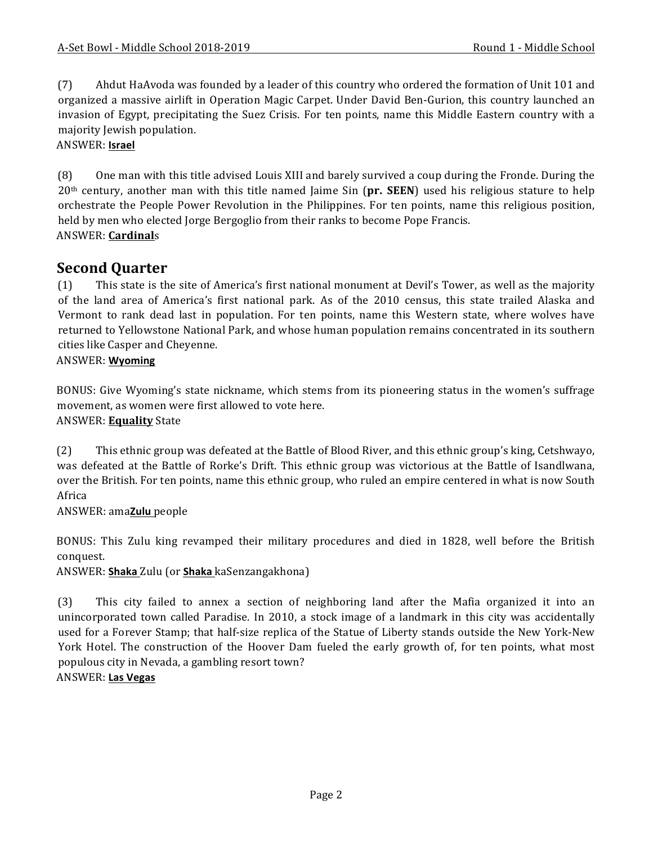(7) Ahdut HaAvoda was founded by a leader of this country who ordered the formation of Unit 101 and organized a massive airlift in Operation Magic Carpet. Under David Ben-Gurion, this country launched an invasion of Egypt, precipitating the Suez Crisis. For ten points, name this Middle Eastern country with a majority Jewish population.

#### ANSWER: **Israel**

(8) One man with this title advised Louis XIII and barely survived a coup during the Fronde. During the  $20<sup>th</sup>$  century, another man with this title named Jaime Sin ( $pr.$  **SEEN**) used his religious stature to help orchestrate the People Power Revolution in the Philippines. For ten points, name this religious position, held by men who elected Jorge Bergoglio from their ranks to become Pope Francis. ANSWER: **Cardinal**s

## **Second Ouarter**

(1) This state is the site of America's first national monument at Devil's Tower, as well as the majority of the land area of America's first national park. As of the 2010 census, this state trailed Alaska and Vermont to rank dead last in population. For ten points, name this Western state, where wolves have returned to Yellowstone National Park, and whose human population remains concentrated in its southern cities like Casper and Cheyenne.

#### ANSWER: **Wyoming**

BONUS: Give Wyoming's state nickname, which stems from its pioneering status in the women's suffrage movement, as women were first allowed to vote here. ANSWER: **Equality** State

(2) This ethnic group was defeated at the Battle of Blood River, and this ethnic group's king, Cetshwayo, was defeated at the Battle of Rorke's Drift. This ethnic group was victorious at the Battle of Isandlwana, over the British. For ten points, name this ethnic group, who ruled an empire centered in what is now South Africa 

ANSWER: ama**Zulu** people

BONUS: This Zulu king revamped their military procedures and died in 1828, well before the British conquest.

ANSWER: Shaka Zulu (or Shaka kaSenzangakhona)

(3) This city failed to annex a section of neighboring land after the Mafia organized it into an unincorporated town called Paradise. In 2010, a stock image of a landmark in this city was accidentally used for a Forever Stamp; that half-size replica of the Statue of Liberty stands outside the New York-New York Hotel. The construction of the Hoover Dam fueled the early growth of, for ten points, what most populous city in Nevada, a gambling resort town? ANSWER: **Las Vegas**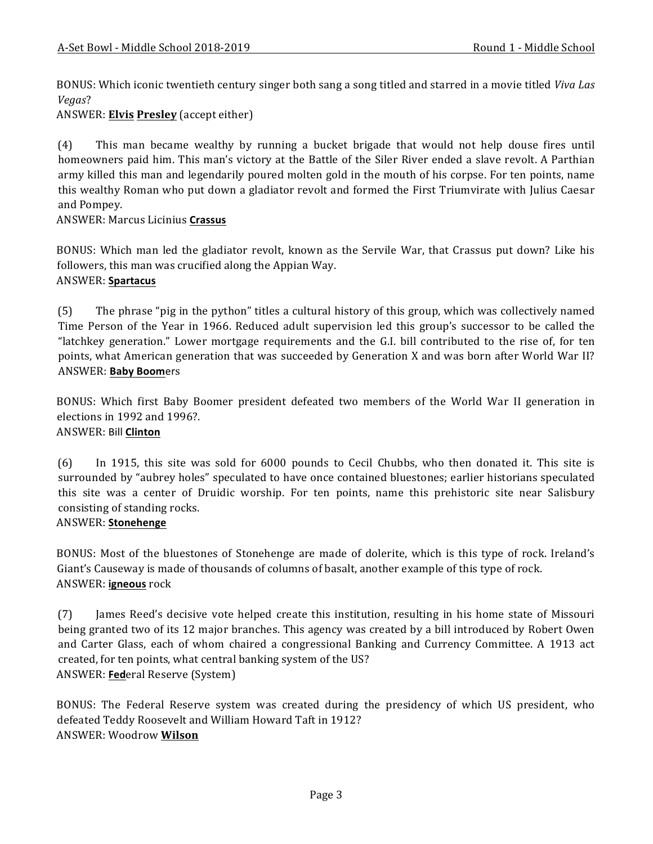BONUS: Which iconic twentieth century singer both sang a song titled and starred in a movie titled *Viva Las Vegas*?

ANSWER: **Elvis Presley** (accept either)

(4) This man became wealthy by running a bucket brigade that would not help douse fires until homeowners paid him. This man's victory at the Battle of the Siler River ended a slave revolt. A Parthian army killed this man and legendarily poured molten gold in the mouth of his corpse. For ten points, name this wealthy Roman who put down a gladiator revolt and formed the First Triumvirate with Julius Caesar and Pompey.

ANSWER: Marcus Licinius **Crassus**

BONUS: Which man led the gladiator revolt, known as the Servile War, that Crassus put down? Like his followers, this man was crucified along the Appian Way.

#### ANSWER: **Spartacus**

(5) The phrase "pig in the python" titles a cultural history of this group, which was collectively named Time Person of the Year in 1966. Reduced adult supervision led this group's successor to be called the "latchkey generation." Lower mortgage requirements and the G.I. bill contributed to the rise of, for ten points, what American generation that was succeeded by Generation X and was born after World War II? ANSWER: **Baby Boom**ers

BONUS: Which first Baby Boomer president defeated two members of the World War II generation in elections in 1992 and 1996?.

#### ANSWER: Bill **Clinton**

(6) In 1915, this site was sold for 6000 pounds to Cecil Chubbs, who then donated it. This site is surrounded by "aubrey holes" speculated to have once contained bluestones; earlier historians speculated this site was a center of Druidic worship. For ten points, name this prehistoric site near Salisbury consisting of standing rocks.

#### ANSWER: **Stonehenge**

BONUS: Most of the bluestones of Stonehenge are made of dolerite, which is this type of rock. Ireland's Giant's Causeway is made of thousands of columns of basalt, another example of this type of rock. ANSWER: **igneous** rock

(7) James Reed's decisive vote helped create this institution, resulting in his home state of Missouri being granted two of its 12 major branches. This agency was created by a bill introduced by Robert Owen and Carter Glass, each of whom chaired a congressional Banking and Currency Committee. A 1913 act created, for ten points, what central banking system of the US? ANSWER: **Fed**eral Reserve (System)

BONUS: The Federal Reserve system was created during the presidency of which US president, who defeated Teddy Roosevelt and William Howard Taft in 1912? ANSWER: Woodrow **Wilson**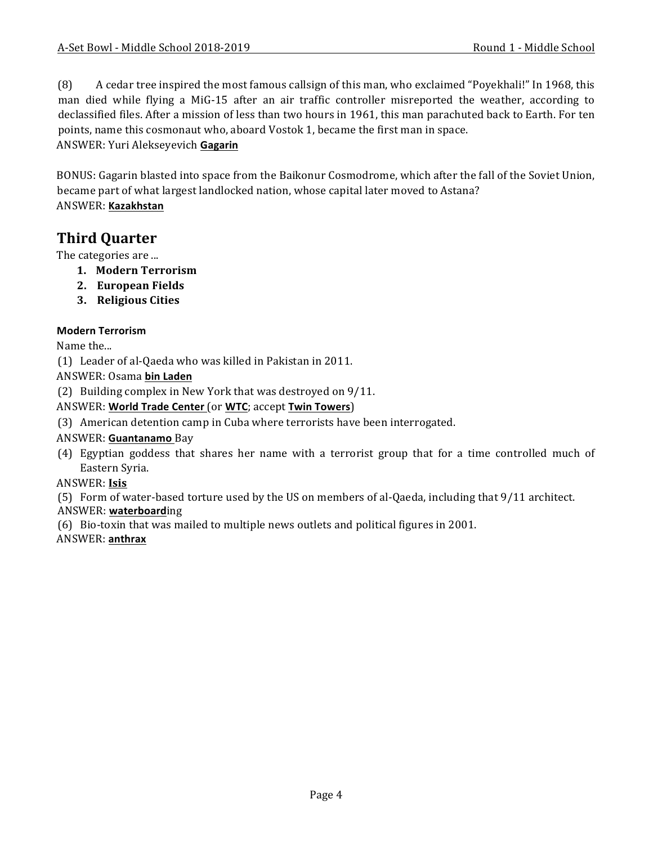(8) A cedar tree inspired the most famous callsign of this man, who exclaimed "Poyekhali!" In 1968, this man died while flying a MiG-15 after an air traffic controller misreported the weather, according to declassified files. After a mission of less than two hours in 1961, this man parachuted back to Earth. For ten points, name this cosmonaut who, aboard Vostok 1, became the first man in space. ANSWER: Yuri Alekseyevich **Gagarin**

BONUS: Gagarin blasted into space from the Baikonur Cosmodrome, which after the fall of the Soviet Union, became part of what largest landlocked nation, whose capital later moved to Astana? ANSWER: **Kazakhstan**

# **Third Quarter**

The categories are ...

- **1. Modern Terrorism**
- **2. European Fields**
- **3. Religious Cities**

#### **Modern Terrorism**

Name the...

(1) Leader of al-Qaeda who was killed in Pakistan in 2011.

ANSWER: Osama **bin Laden**

(2) Building complex in New York that was destroyed on  $9/11$ .

#### ANSWER: **World Trade Center** (or **WTC**; accept **Twin Towers**)

(3) American detention camp in Cuba where terrorists have been interrogated.

#### ANSWER: **Guantanamo** Bay

(4) Egyptian goddess that shares her name with a terrorist group that for a time controlled much of Eastern Syria.

#### ANSWER: **Isis**

(5) Form of water-based torture used by the US on members of al-Qaeda, including that  $9/11$  architect.

#### ANSWER: **waterboard**ing

(6) Bio-toxin that was mailed to multiple news outlets and political figures in 2001.

#### ANSWER: **anthrax**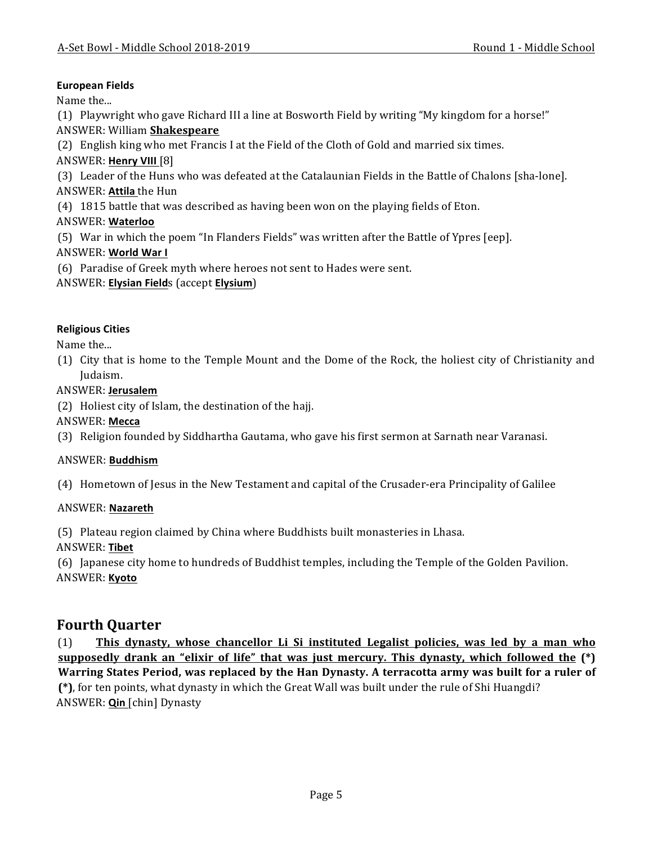#### **European Fields**

Name the...

(1) Playwright who gave Richard III a line at Bosworth Field by writing "My kingdom for a horse!"

ANSWER: William **Shakespeare**

(2) English king who met Francis I at the Field of the Cloth of Gold and married six times.

ANSWER: **Henry VIII** [8]

(3) Leader of the Huns who was defeated at the Catalaunian Fields in the Battle of Chalons [sha-lone].

ANSWER: Attila the Hun

(4) 1815 battle that was described as having been won on the playing fields of Eton.

### ANSWER: **Waterloo**

(5) War in which the poem "In Flanders Fields" was written after the Battle of Ypres [eep].

#### **ANSWER: World War I**

(6) Paradise of Greek myth where heroes not sent to Hades were sent.

ANSWER: **Elysian Field**s (accept **Elysium**)

#### **Religious Cities**

Name the...

(1) City that is home to the Temple Mount and the Dome of the Rock, the holiest city of Christianity and Judaism.

#### ANSWER: **Jerusalem**

(2) Holiest city of Islam, the destination of the hajj.

ANSWER: **Mecca**

(3) Religion founded by Siddhartha Gautama, who gave his first sermon at Sarnath near Varanasi.

#### ANSWER: **Buddhism**

(4) Hometown of Jesus in the New Testament and capital of the Crusader-era Principality of Galilee

#### ANSWER: **Nazareth**

(5) Plateau region claimed by China where Buddhists built monasteries in Lhasa.

#### ANSWER: **Tibet**

(6) Japanese city home to hundreds of Buddhist temples, including the Temple of the Golden Pavilion. ANSWER: **Kyoto**

# **Fourth Quarter**

(1) **This dynasty, whose chancellor Li Si instituted Legalist policies, was led by a man who supposedly drank an "elixir of life" that was just mercury. This dynasty, which followed the**  $(*)$ **Warring States Period, was replaced by the Han Dynasty. A terracotta army was built for a ruler of (\*)**, for ten points, what dynasty in which the Great Wall was built under the rule of Shi Huangdi? ANSWER: **Qin** [chin] Dynasty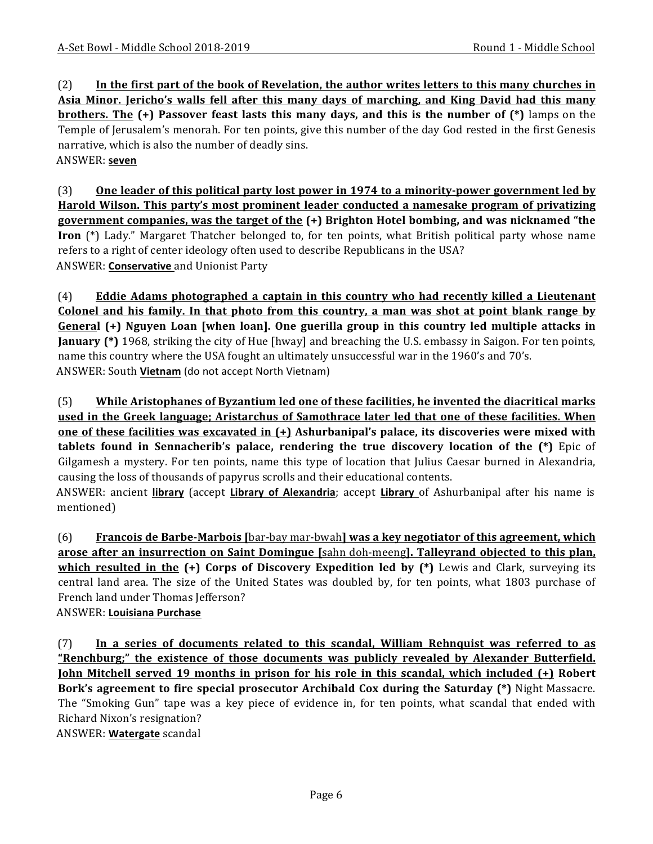(2) In the first part of the book of Revelation, the author writes letters to this many churches in **Asia Minor. Jericho's walls fell after this many days of marching, and King David had this many brothers.** The (+) Passover feast lasts this many days, and this is the number of (\*) lamps on the Temple of Jerusalem's menorah. For ten points, give this number of the day God rested in the first Genesis narrative, which is also the number of deadly sins. ANSWER: **seven**

(3) One leader of this political party lost power in 1974 to a minority-power government led by **Harold Wilson. This party's most prominent leader conducted a namesake program of privatizing government companies, was the target of the (+) Brighton Hotel bombing, and was nicknamed "the Iron** (\*) Lady." Margaret Thatcher belonged to, for ten points, what British political party whose name refers to a right of center ideology often used to describe Republicans in the USA? ANSWER: **Conservative** and Unionist Party

(4) **Eddie Adams photographed a captain in this country who had recently killed a Lieutenant Colonel and his family. In that photo from this country, a man was shot at point blank range by General** (+) Nguyen Loan [when loan]. One guerilla group in this country led multiple attacks in **January** (\*) 1968, striking the city of Hue [hway] and breaching the U.S. embassy in Saigon. For ten points, name this country where the USA fought an ultimately unsuccessful war in the 1960's and 70's. ANSWER: South Vietnam (do not accept North Vietnam)

(5) While Aristophanes of Byzantium led one of these facilities, he invented the diacritical marks used in the Greek language; Aristarchus of Samothrace later led that one of these facilities. When **<u>one of these facilities was excavated in (+)</u> Ashurbanipal's palace, its discoveries were mixed with tablets found in Sennacherib's palace, rendering the true discovery location of the (\*)** Epic of Gilgamesh a mystery. For ten points, name this type of location that Julius Caesar burned in Alexandria, causing the loss of thousands of papyrus scrolls and their educational contents. ANSWER: ancient **library** (accept **Library of Alexandria**; accept **Library** of Ashurbanipal after his name is mentioned)

(6) **Francois de Barbe-Marbois** [bar-bay mar-bwah] **was a key negotiator of this agreement, which arose after an insurrection on Saint Domingue** [sahn doh-meeng]. Talleyrand objected to this plan, **which resulted in the (+) Corps of Discovery Expedition led by (\*)** Lewis and Clark, surveying its central land area. The size of the United States was doubled by, for ten points, what 1803 purchase of French land under Thomas Jefferson?

ANSWER: **Louisiana Purchase**

(7) In a series of documents related to this scandal, William Rehnquist was referred to as "Renchburg;" the existence of those documents was publicly revealed by Alexander Butterfield. **<u>John Mitchell served 19 months in prison for his role in this scandal, which included (+)</u> Robert Bork's agreement to fire special prosecutor Archibald Cox during the Saturday (\*)** Night Massacre. The "Smoking Gun" tape was a key piece of evidence in, for ten points, what scandal that ended with Richard Nixon's resignation?

ANSWER: **Watergate** scandal